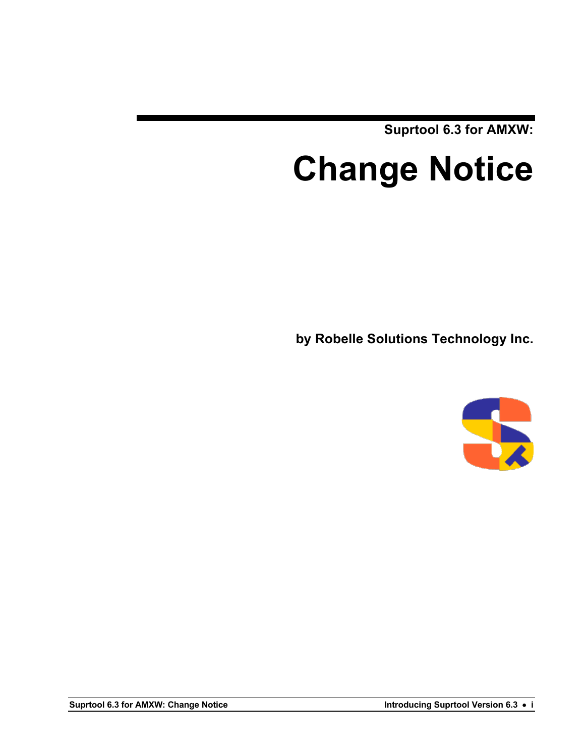**Suprtool 6.3 for AMXW:**

# **Change Notice**

**by Robelle Solutions Technology Inc.**

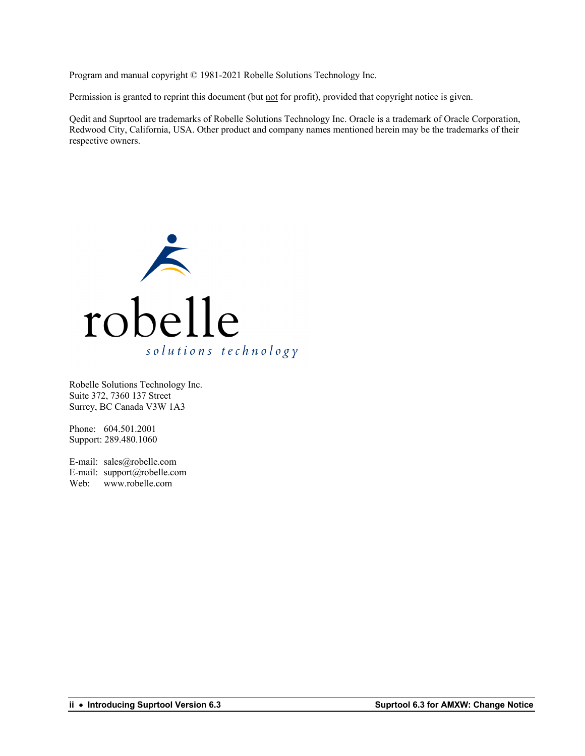Program and manual copyright © 1981-2021 Robelle Solutions Technology Inc.

Permission is granted to reprint this document (but not for profit), provided that copyright notice is given.

Qedit and Suprtool are trademarks of Robelle Solutions Technology Inc. Oracle is a trademark of Oracle Corporation, Redwood City, California, USA. Other product and company names mentioned herein may be the trademarks of their respective owners.



Robelle Solutions Technology Inc. Suite 372, 7360 137 Street Surrey, BC Canada V3W 1A3

Phone: 604.501.2001 Support: 289.480.1060

E-mail: sales@robelle.com E-mail: support@robelle.com Web: www.robelle.com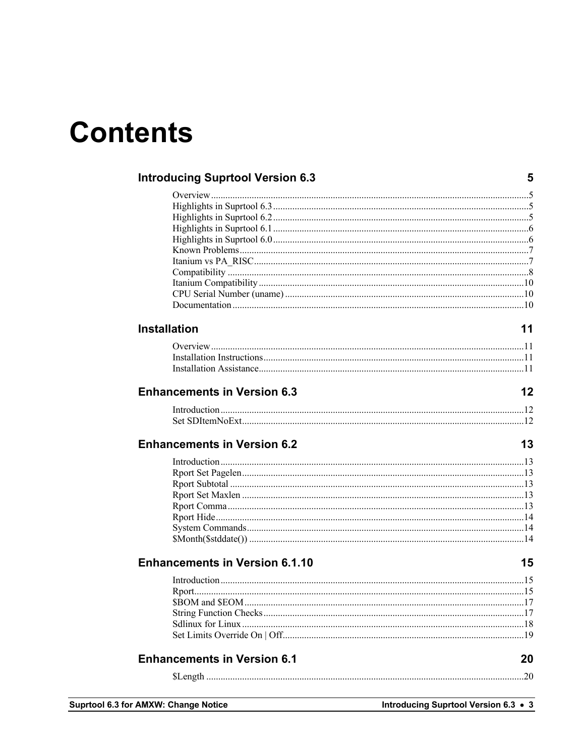## **Contents**

#### **Introducing Suprtool Version 6.3**

#### **Installation**

#### **Enhancements in Version 6.3**

#### **Enhancements in Version 6.2**

#### **Enhancements in Version 6.1.10**

#### **Enhancements in Version 6.1**

| ሐ ተ |
|-----|
|-----|

 $5\phantom{1}$ 

 $11$ 

 $12$ 

 $13$ 

15

20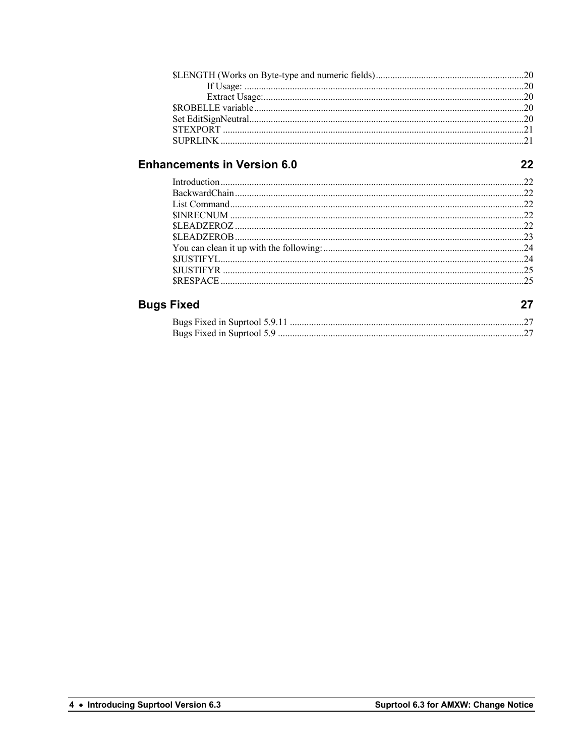#### **Enhancements in Version 6.0**

| ×. |  |
|----|--|
|    |  |

 $27$ 

#### **Bugs Fixed**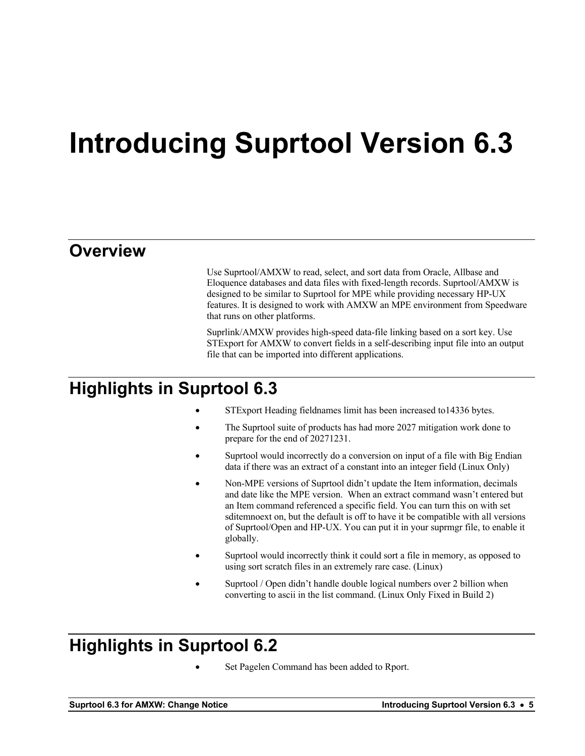## **Introducing Suprtool Version 6.3**

#### **Overview**

Use Suprtool/AMXW to read, select, and sort data from Oracle, Allbase and Eloquence databases and data files with fixed-length records. Suprtool/AMXW is designed to be similar to Suprtool for MPE while providing necessary HP-UX features. It is designed to work with AMXW an MPE environment from Speedware that runs on other platforms.

Suprlink/AMXW provides high-speed data-file linking based on a sort key. Use STExport for AMXW to convert fields in a self-describing input file into an output file that can be imported into different applications.

### **Highlights in Suprtool 6.3**

- STExport Heading fieldnames limit has been increased to14336 bytes.
- The Suprtool suite of products has had more 2027 mitigation work done to prepare for the end of 20271231.
- Suprtool would incorrectly do a conversion on input of a file with Big Endian data if there was an extract of a constant into an integer field (Linux Only)
- Non-MPE versions of Suprtool didn't update the Item information, decimals and date like the MPE version. When an extract command wasn't entered but an Item command referenced a specific field. You can turn this on with set sditemnoext on, but the default is off to have it be compatible with all versions of Suprtool/Open and HP-UX. You can put it in your suprmgr file, to enable it globally.
- Suprtool would incorrectly think it could sort a file in memory, as opposed to using sort scratch files in an extremely rare case. (Linux)
- Suprtool / Open didn't handle double logical numbers over 2 billion when converting to ascii in the list command. (Linux Only Fixed in Build 2)

### **Highlights in Suprtool 6.2**

Set Pagelen Command has been added to Rport.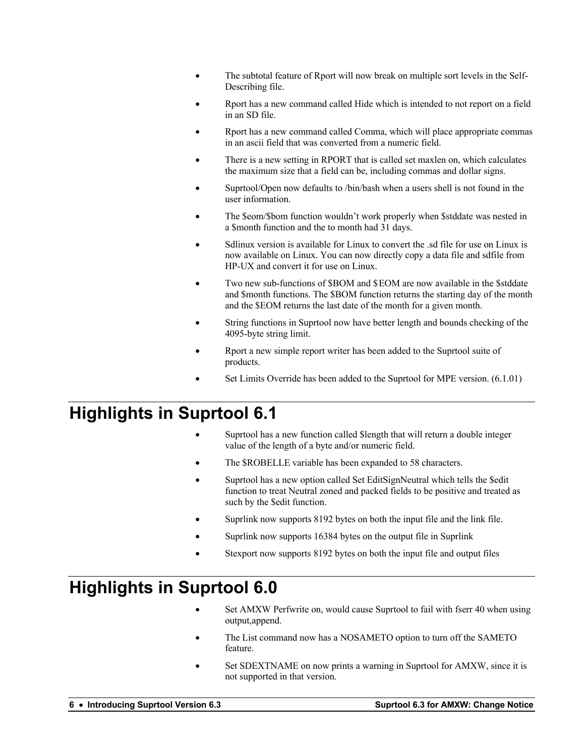- The subtotal feature of Rport will now break on multiple sort levels in the Self-Describing file.
- Rport has a new command called Hide which is intended to not report on a field in an SD file.
- Rport has a new command called Comma, which will place appropriate commas in an ascii field that was converted from a numeric field.
- There is a new setting in RPORT that is called set maxlen on, which calculates the maximum size that a field can be, including commas and dollar signs.
- Suprtool/Open now defaults to /bin/bash when a users shell is not found in the user information.
- The \$eom/\$bom function wouldn't work properly when \$stddate was nested in a \$month function and the to month had 31 days.
- Sdlinux version is available for Linux to convert the .sd file for use on Linux is now available on Linux. You can now directly copy a data file and sdfile from HP-UX and convert it for use on Linux.
- Two new sub-functions of \$BOM and \$EOM are now available in the \$stddate and \$month functions. The \$BOM function returns the starting day of the month and the \$EOM returns the last date of the month for a given month.
- String functions in Suprtool now have better length and bounds checking of the 4095-byte string limit.
- Rport a new simple report writer has been added to the Suprtool suite of products.
- Set Limits Override has been added to the Suprtool for MPE version.  $(6.1.01)$

#### **Highlights in Suprtool 6.1**

- Suprtool has a new function called \$length that will return a double integer value of the length of a byte and/or numeric field.
- The \$ROBELLE variable has been expanded to 58 characters.
- Suprtool has a new option called Set EditSignNeutral which tells the \$edit function to treat Neutral zoned and packed fields to be positive and treated as such by the \$edit function.
- Suprlink now supports 8192 bytes on both the input file and the link file.
- Suprlink now supports 16384 bytes on the output file in Suprlink
- Stexport now supports 8192 bytes on both the input file and output files

#### **Highlights in Suprtool 6.0**

- Set AMXW Perfwrite on, would cause Suprtool to fail with fserr 40 when using output,append.
- The List command now has a NOSAMETO option to turn off the SAMETO feature.
- Set SDEXTNAME on now prints a warning in Suprtool for AMXW, since it is not supported in that version.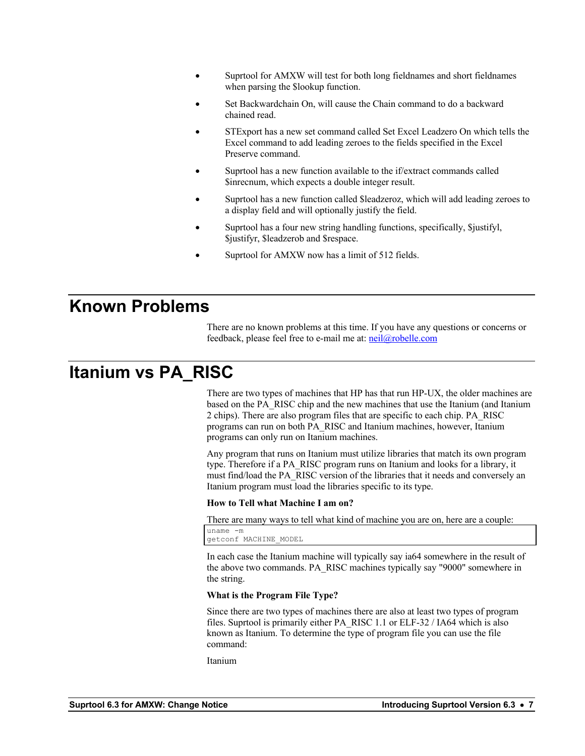- Suprtool for AMXW will test for both long fieldnames and short fieldnames when parsing the \$lookup function.
- Set Backwardchain On, will cause the Chain command to do a backward chained read.
- STExport has a new set command called Set Excel Leadzero On which tells the Excel command to add leading zeroes to the fields specified in the Excel Preserve command.
- Suprtool has a new function available to the if/extract commands called \$inrecnum, which expects a double integer result.
- Suprtool has a new function called \$leadzeroz, which will add leading zeroes to a display field and will optionally justify the field.
- Suprtool has a four new string handling functions, specifically, \$justifyl, \$justifyr, \$leadzerob and \$respace.
- Suprtool for AMXW now has a limit of 512 fields.

#### **Known Problems**

There are no known problems at this time. If you have any questions or concerns or feedback, please feel free to e-mail me at: neil@robelle.com

### **Itanium vs PA\_RISC**

There are two types of machines that HP has that run HP-UX, the older machines are based on the PA\_RISC chip and the new machines that use the Itanium (and Itanium 2 chips). There are also program files that are specific to each chip. PA\_RISC programs can run on both PA\_RISC and Itanium machines, however, Itanium programs can only run on Itanium machines.

Any program that runs on Itanium must utilize libraries that match its own program type. Therefore if a PA\_RISC program runs on Itanium and looks for a library, it must find/load the PA\_RISC version of the libraries that it needs and conversely an Itanium program must load the libraries specific to its type.

#### **How to Tell what Machine I am on?**

There are many ways to tell what kind of machine you are on, here are a couple: uname -m getconf MACHINE\_MODEL

In each case the Itanium machine will typically say ia64 somewhere in the result of the above two commands. PA\_RISC machines typically say "9000" somewhere in the string.

#### **What is the Program File Type?**

Since there are two types of machines there are also at least two types of program files. Suprtool is primarily either PA\_RISC 1.1 or ELF-32 / IA64 which is also known as Itanium. To determine the type of program file you can use the file command:

Itanium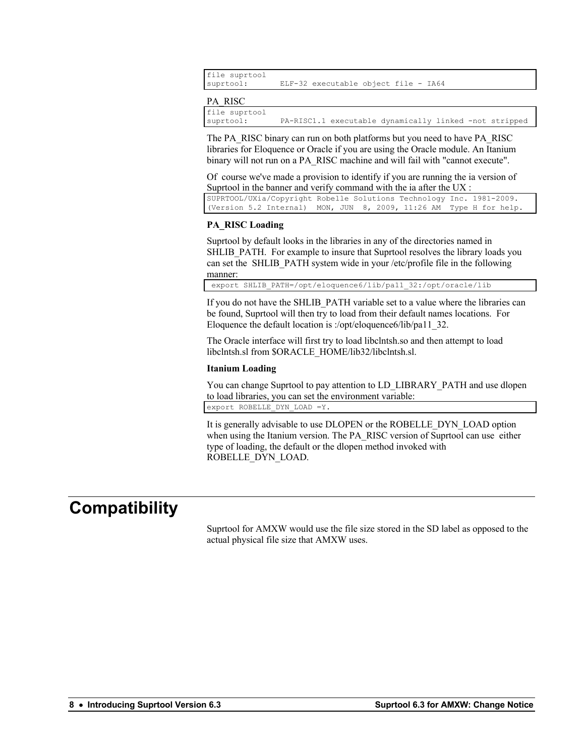```
file suprtool<br>suprtool:
                    ELF-32 executable object file - IA64
```
#### PA\_RISC

```
file suprtool<br>suprtool:
                   PA-RISC1.1 executable dynamically linked -not stripped
```
The PA\_RISC binary can run on both platforms but you need to have PA\_RISC libraries for Eloquence or Oracle if you are using the Oracle module. An Itanium binary will not run on a PA\_RISC machine and will fail with "cannot execute".

Of course we've made a provision to identify if you are running the ia version of Suprtool in the banner and verify command with the ia after the UX :

SUPRTOOL/UXia/Copyright Robelle Solutions Technology Inc. 1981-2009. (Version 5.2 Internal) MON, JUN 8, 2009, 11:26 AM Type H for help.

#### **PA\_RISC Loading**

Suprtool by default looks in the libraries in any of the directories named in SHLIB\_PATH. For example to insure that Suprtool resolves the library loads you can set the SHLIB\_PATH system wide in your /etc/profile file in the following manner:

export SHLIB\_PATH=/opt/eloquence6/lib/pa11\_32:/opt/oracle/lib

If you do not have the SHLIB\_PATH variable set to a value where the libraries can be found, Suprtool will then try to load from their default names locations. For Eloquence the default location is :/opt/eloquence6/lib/pa11\_32.

The Oracle interface will first try to load libclntsh.so and then attempt to load libclntsh.sl from \$ORACLE\_HOME/lib32/libclntsh.sl.

#### **Itanium Loading**

You can change Suprtool to pay attention to LD\_LIBRARY\_PATH and use dlopen to load libraries, you can set the environment variable: export ROBELLE\_DYN\_LOAD =Y.

It is generally advisable to use DLOPEN or the ROBELLE\_DYN\_LOAD option when using the Itanium version. The PA\_RISC version of Suprtool can use either type of loading, the default or the dlopen method invoked with ROBELLE\_DYN\_LOAD.

#### **Compatibility**

Suprtool for AMXW would use the file size stored in the SD label as opposed to the actual physical file size that AMXW uses.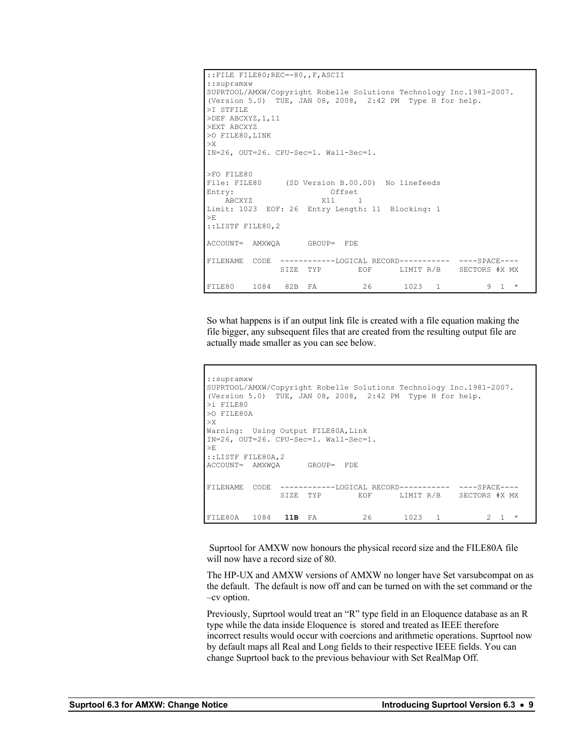```
::FILE FILE80;REC=-80,,F,ASCII
::supramxw
SUPRTOOL/AMXW/Copyright Robelle Solutions Technology Inc.1981-2007.
(Version 5.0) TUE, JAN 08, 2008, 2:42 PM Type H for help.
>I STFILE
>DEF ABCXYZ,1,11
>EXT ABCXYZ
>O FILE80,LINK
>X
IN=26, OUT=26. CPU-Sec=1. Wall-Sec=1.
>FO FILE80
File: FILE80 (SD Version B.00.00) No linefeeds
Entry: Offset
ABCXYZ X11 1
Limit: 1023 EOF: 26 Entry Length: 11 Blocking: 1
>E
::LISTF FILE80,2
ACCOUNT= AMXWQA GROUP= FDE
FILENAME CODE ------------LOGICAL RECORD----------- ----SPACE----
              SIZE TYP EOF LIMIT R/B SECTORS #X MX
FILE80 1084 82B FA 26 1023 1 9 1 *
```
So what happens is if an output link file is created with a file equation making the file bigger, any subsequent files that are created from the resulting output file are actually made smaller as you can see below.

```
::supramxw
SUPRTOOL/AMXW/Copyright Robelle Solutions Technology Inc.1981-2007.
(Version 5.0) TUE, JAN 08, 2008, 2:42 PM Type H for help.
>i FILE80
>O FILE80A
> xWarning: Using Output FILE80A, Link
IN=26, OUT=26. CPU-Sec=1. Wall-Sec=1.
>E
::LISTF FILE80A,2
ACCOUNT= AMXWQA GROUP= FDE
FILENAME CODE ------------LOGICAL RECORD----------- ----SPACE----<br>SIZE TYP EOF LIMIT R/B SECTORS #X MX
                                       LIMIT R/B SECTORS #X MX
FILE80A 1084 11B FA 26 1023 1 2 1 *
```
Suprtool for AMXW now honours the physical record size and the FILE80A file will now have a record size of 80.

The HP-UX and AMXW versions of AMXW no longer have Set varsubcompat on as the default. The default is now off and can be turned on with the set command or the –cv option.

Previously, Suprtool would treat an "R" type field in an Eloquence database as an R type while the data inside Eloquence is stored and treated as IEEE therefore incorrect results would occur with coercions and arithmetic operations. Suprtool now by default maps all Real and Long fields to their respective IEEE fields. You can change Suprtool back to the previous behaviour with Set RealMap Off.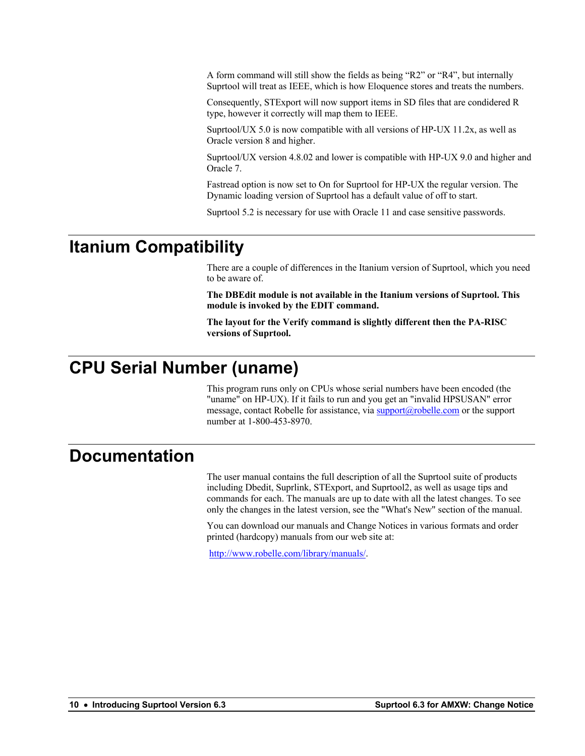A form command will still show the fields as being "R2" or "R4", but internally Suprtool will treat as IEEE, which is how Eloquence stores and treats the numbers.

Consequently, STExport will now support items in SD files that are condidered R type, however it correctly will map them to IEEE.

Suprtool/UX 5.0 is now compatible with all versions of HP-UX 11.2x, as well as Oracle version 8 and higher.

Suprtool/UX version 4.8.02 and lower is compatible with HP-UX 9.0 and higher and Oracle 7.

Fastread option is now set to On for Suprtool for HP-UX the regular version. The Dynamic loading version of Suprtool has a default value of off to start.

Suprtool 5.2 is necessary for use with Oracle 11 and case sensitive passwords.

#### **Itanium Compatibility**

There are a couple of differences in the Itanium version of Suprtool, which you need to be aware of.

**The DBEdit module is not available in the Itanium versions of Suprtool. This module is invoked by the EDIT command.**

**The layout for the Verify command is slightly different then the PA-RISC versions of Suprtool.**

### **CPU Serial Number (uname)**

This program runs only on CPUs whose serial numbers have been encoded (the "uname" on HP-UX). If it fails to run and you get an "invalid HPSUSAN" error message, contact Robelle for assistance, via support@robelle.com or the support number at 1-800-453-8970.

#### **Documentation**

The user manual contains the full description of all the Suprtool suite of products including Dbedit, Suprlink, STExport, and Suprtool2, as well as usage tips and commands for each. The manuals are up to date with all the latest changes. To see only the changes in the latest version, see the "What's New" section of the manual.

You can download our manuals and Change Notices in various formats and order printed (hardcopy) manuals from our web site at:

http://www.robelle.com/library/manuals/.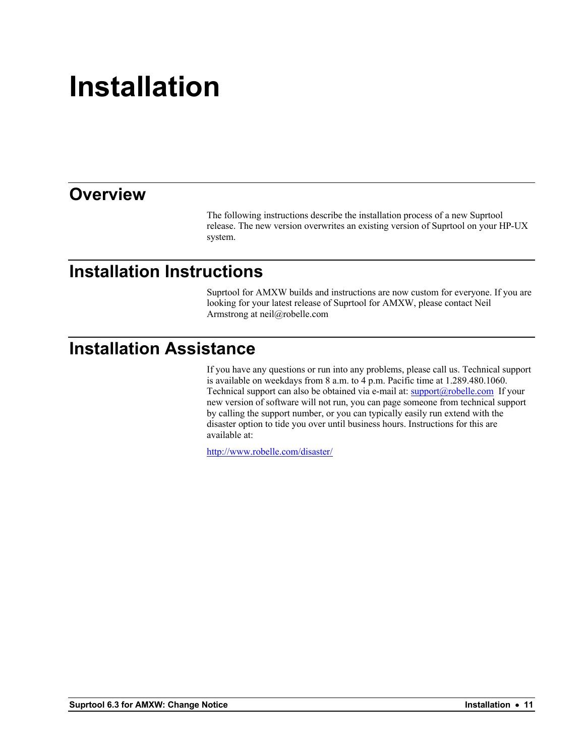## **Installation**

#### **Overview**

The following instructions describe the installation process of a new Suprtool release. The new version overwrites an existing version of Suprtool on your HP-UX system.

#### **Installation Instructions**

Suprtool for AMXW builds and instructions are now custom for everyone. If you are looking for your latest release of Suprtool for AMXW, please contact Neil Armstrong at neil@robelle.com

#### **Installation Assistance**

If you have any questions or run into any problems, please call us. Technical support is available on weekdays from 8 a.m. to 4 p.m. Pacific time at 1.289.480.1060. Technical support can also be obtained via e-mail at:  $\frac{\text{support}(a\text{problem.com}}{\text{support}(b\text{problem.com}})$  If your new version of software will not run, you can page someone from technical support by calling the support number, or you can typically easily run extend with the disaster option to tide you over until business hours. Instructions for this are available at:

http://www.robelle.com/disaster/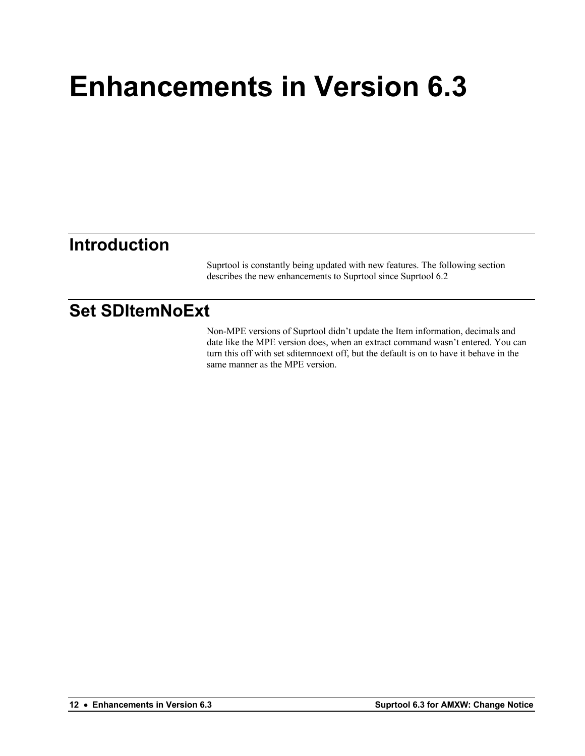## **Enhancements in Version 6.3**

#### **Introduction**

Suprtool is constantly being updated with new features. The following section describes the new enhancements to Suprtool since Suprtool 6.2

#### **Set SDItemNoExt**

Non-MPE versions of Suprtool didn't update the Item information, decimals and date like the MPE version does, when an extract command wasn't entered. You can turn this off with set sditemnoext off, but the default is on to have it behave in the same manner as the MPE version.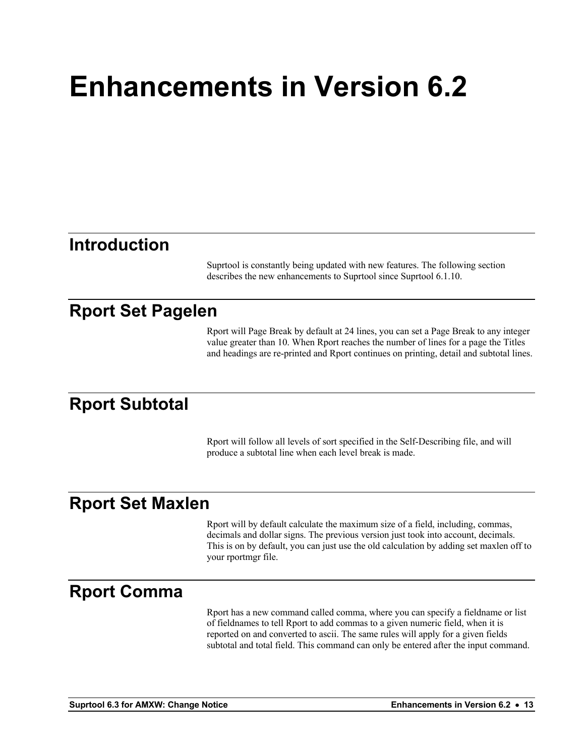## **Enhancements in Version 6.2**

#### **Introduction**

Suprtool is constantly being updated with new features. The following section describes the new enhancements to Suprtool since Suprtool 6.1.10.

#### **Rport Set Pagelen**

Rport will Page Break by default at 24 lines, you can set a Page Break to any integer value greater than 10. When Rport reaches the number of lines for a page the Titles and headings are re-printed and Rport continues on printing, detail and subtotal lines.

#### **Rport Subtotal**

Rport will follow all levels of sort specified in the Self-Describing file, and will produce a subtotal line when each level break is made.

#### **Rport Set Maxlen**

Rport will by default calculate the maximum size of a field, including, commas, decimals and dollar signs. The previous version just took into account, decimals. This is on by default, you can just use the old calculation by adding set maxlen off to your rportmgr file.

#### **Rport Comma**

Rport has a new command called comma, where you can specify a fieldname or list of fieldnames to tell Rport to add commas to a given numeric field, when it is reported on and converted to ascii. The same rules will apply for a given fields subtotal and total field. This command can only be entered after the input command.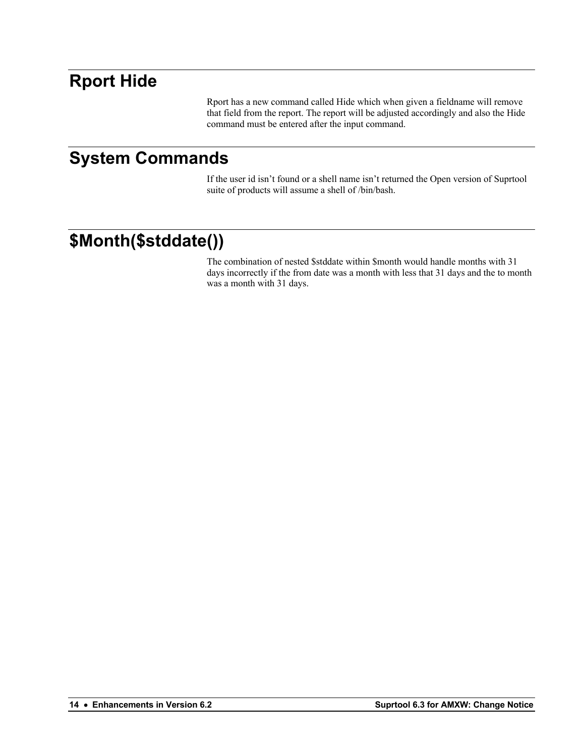### **Rport Hide**

Rport has a new command called Hide which when given a fieldname will remove that field from the report. The report will be adjusted accordingly and also the Hide command must be entered after the input command.

### **System Commands**

If the user id isn't found or a shell name isn't returned the Open version of Suprtool suite of products will assume a shell of /bin/bash.

## **\$Month(\$stddate())**

The combination of nested \$stddate within \$month would handle months with 31 days incorrectly if the from date was a month with less that 31 days and the to month was a month with 31 days.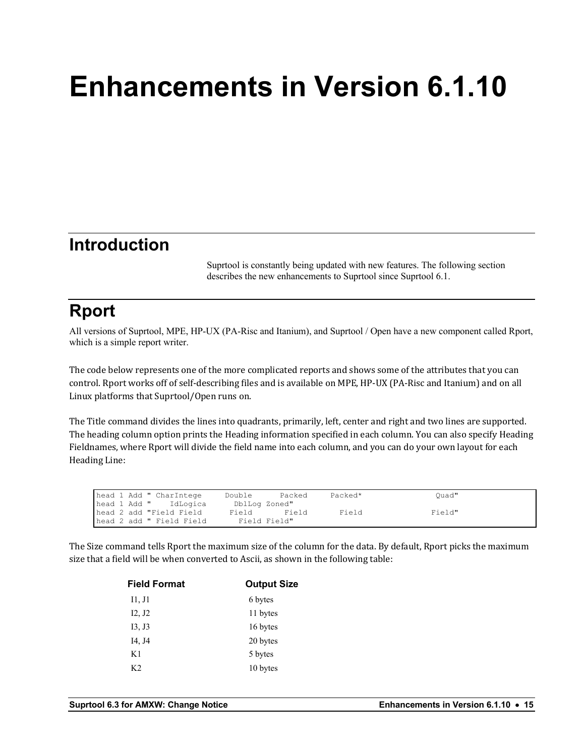## **Enhancements in Version 6.1.10**

#### **Introduction**

Suprtool is constantly being updated with new features. The following section describes the new enhancements to Suprtool since Suprtool 6.1.

### **Rport**

All versions of Suprtool, MPE, HP-UX (PA-Risc and Itanium), and Suprtool / Open have a new component called Rport, which is a simple report writer.

The code below represents one of the more complicated reports and shows some of the attributes that you can control. Rport works off of self-describing files and is available on MPE, HP-UX (PA-Risc and Itanium) and on all Linux platforms that Suprtool/Open runs on.

The Title command divides the lines into quadrants, primarily, left, center and right and two lines are supported. The heading column option prints the Heading information specified in each column. You can also specify Heading Fieldnames, where Rport will divide the field name into each column, and you can do your own layout for each Heading Line:

| head 1 Add " CharIntege  | Double        | Packed | Packed* | Ouad"  |
|--------------------------|---------------|--------|---------|--------|
| head 1 Add " IdLogica    | DblLog Zoned" |        |         |        |
| head 2 add "Field Field" | Field         | Field  | Field   | Field" |
| head 2 add " Field Field | Field Field"  |        |         |        |

The Size command tells Rport the maximum size of the column for the data. By default, Rport picks the maximum size that a field will be when converted to Ascii, as shown in the following table:

| <b>Field Format</b> | <b>Output Size</b> |  |
|---------------------|--------------------|--|
| I1, J1              | 6 bytes            |  |
| I2, J2              | 11 bytes           |  |
| I3, J3              | 16 bytes           |  |
| I4, J4              | 20 bytes           |  |
| K 1                 | 5 bytes            |  |
| K <sub>2</sub>      | 10 bytes           |  |
|                     |                    |  |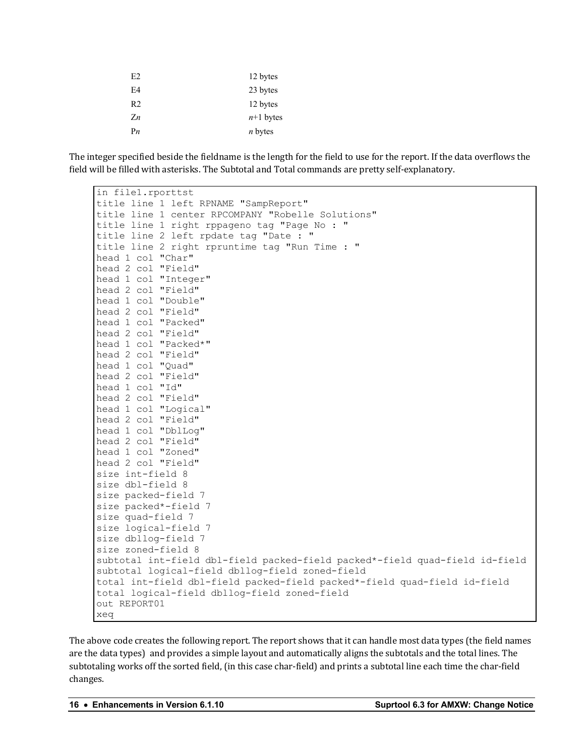| E2             | 12 bytes       |
|----------------|----------------|
| F4             | 23 bytes       |
| R <sub>2</sub> | 12 bytes       |
| Zn             | $n+1$ bytes    |
| Pn             | <i>n</i> bytes |

The integer specified beside the fieldname is the length for the field to use for the report. If the data overflows the field will be filled with asterisks. The Subtotal and Total commands are pretty self-explanatory.

| in file1.rporttst                                                           |
|-----------------------------------------------------------------------------|
| title line 1 left RPNAME "SampReport"                                       |
| title line 1 center RPCOMPANY "Robelle Solutions"                           |
| title line 1 right rppageno tag "Page No : "                                |
| title line 2 left rpdate tag "Date : "                                      |
| title line 2 right rpruntime tag "Run Time : "                              |
| head 1 col "Char"                                                           |
| head 2 col "Field"                                                          |
| head 1 col "Integer"                                                        |
| head 2 col "Field"                                                          |
| head 1 col "Double"                                                         |
| head 2 col "Field"                                                          |
| head 1 col "Packed"                                                         |
| head 2 col "Field"                                                          |
| head 1 col "Packed*"                                                        |
| head 2 col "Field"                                                          |
| head 1 col "Quad"                                                           |
| head 2 col "Field"                                                          |
| head 1 col "Id"                                                             |
| head 2 col "Field"                                                          |
| head 1 col "Logical"                                                        |
| head 2 col "Field"                                                          |
| head 1 col "DblLog"                                                         |
| head 2 col "Field"                                                          |
| head 1 col "Zoned"                                                          |
| head 2 col "Field"                                                          |
| size int-field 8                                                            |
| size dbl-field 8                                                            |
| size packed-field 7                                                         |
| size packed*-field 7                                                        |
| size quad-field 7                                                           |
| size logical-field 7                                                        |
| size dbllog-field 7                                                         |
| size zoned-field 8                                                          |
| subtotal int-field dbl-field packed-field packed*-field quad-field id-field |
| subtotal logical-field dbllog-field zoned-field                             |
| total int-field dbl-field packed-field packed*-field quad-field id-field    |
| total logical-field dbllog-field zoned-field                                |
| out REPORT01                                                                |
| xeq                                                                         |

The above code creates the following report. The report shows that it can handle most data types (the field names are the data types) and provides a simple layout and automatically aligns the subtotals and the total lines. The subtotaling works off the sorted field, (in this case char-field) and prints a subtotal line each time the char-field changes.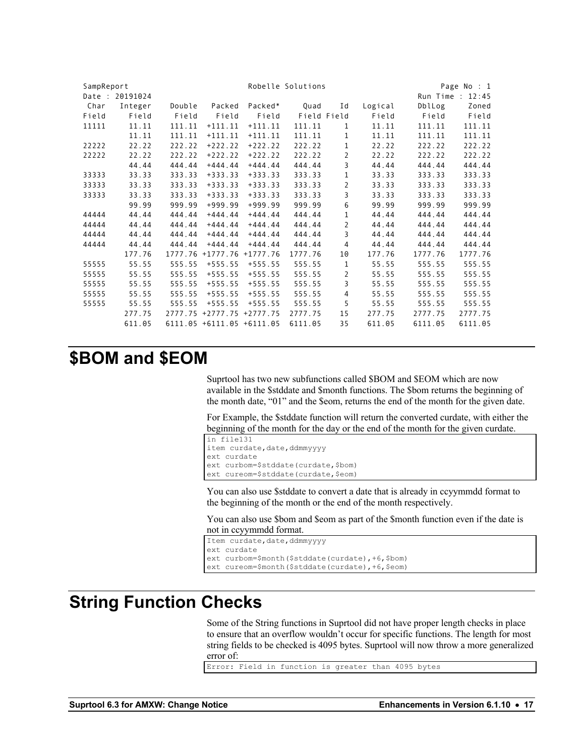| SampReport |                | Robelle Solutions |                               |           |         | Page No : 1  |         |         |                  |
|------------|----------------|-------------------|-------------------------------|-----------|---------|--------------|---------|---------|------------------|
|            | Date: 20191024 |                   |                               |           |         |              |         |         | Run Time : 12:45 |
| Char       | Integer        | Double            | Packed                        | Packed*   | Quad    | Ιd           | Logical | DblLog  | Zoned            |
| Field      | Field          | Field             | Field                         | Field     |         | Field Field  | Field   | Field   | Field            |
| 11111      | 11.11          | 111.11            | $+111.11$                     | $+111.11$ | 111.11  | 1            | 11.11   | 111.11  | 111.11           |
|            | 11.11          | 111.11            | $+111.11$                     | $+111.11$ | 111.11  | 1            | 11.11   | 111.11  | 111.11           |
| 22222      | 22.22          | 222.22            | $+222.22$                     | $+222.22$ | 222.22  | 1            | 22.22   | 222.22  | 222.22           |
| 22222      | 22.22          | 222.22            | $+222.22$                     | $+222.22$ | 222.22  | 2            | 22.22   | 222.22  | 222.22           |
|            | 44.44          | 444.44            | $+444.44$                     | $+444.44$ | 444.44  | 3            | 44.44   | 444.44  | 444.44           |
| 33333      | 33.33          | 333.33            | $+333.33$                     | $+333.33$ | 333.33  | 1            | 33.33   | 333.33  | 333.33           |
| 33333      | 33.33          | 333.33            | $+333.33$                     | $+333.33$ | 333.33  | 2            | 33.33   | 333.33  | 333.33           |
| 33333      | 33.33          | 333.33            | $+333.33$                     | $+333.33$ | 333.33  | 3            | 33.33   | 333.33  | 333.33           |
|            | 99.99          | 999.99            | $+999.99$                     | $+999.99$ | 999.99  | 6            | 99.99   | 999.99  | 999.99           |
| 44444      | 44.44          | 444.44            | $+444.44$                     | $+444.44$ | 444.44  | $\mathbf{1}$ | 44.44   | 444.44  | 444.44           |
| 44444      | 44.44          | 444.44            | $+444.44$                     | $+444.44$ | 444.44  | 2            | 44.44   | 444.44  | 444.44           |
| 44444      | 44.44          | 444.44            | $+444.44$                     | $+444.44$ | 444.44  | 3            | 44.44   | 444.44  | 444.44           |
| 44444      | 44.44          | 444.44            | $+444.44$                     | $+444.44$ | 444.44  | 4            | 44.44   | 444.44  | 444.44           |
|            | 177.76         |                   | 1777.76 +1777.76 +1777.76     |           | 1777.76 | 10           | 177.76  | 1777.76 | 1777.76          |
| 55555      | 55.55          | 555.55            | $+555.55$                     | $+555.55$ | 555.55  | 1            | 55.55   | 555.55  | 555.55           |
| 55555      | 55.55          | 555.55            | $+555.55$                     | $+555.55$ | 555.55  | 2            | 55.55   | 555.55  | 555.55           |
| 55555      | 55.55          | 555.55            | $+555.55$                     | $+555.55$ | 555.55  | 3            | 55.55   | 555.55  | 555.55           |
| 55555      | 55.55          | 555.55            | $+555.55$                     | $+555.55$ | 555.55  | 4            | 55.55   | 555.55  | 555.55           |
| 55555      | 55.55          | 555.55            | $+555.55$                     | $+555.55$ | 555.55  | 5            | 55.55   | 555.55  | 555.55           |
|            | 277.75         |                   | 2777.75 +2777.75 +2777.75     |           | 2777.75 | 15           | 277.75  | 2777.75 | 2777.75          |
|            | 611.05         |                   | $6111.05 + 6111.05 + 6111.05$ |           | 6111.05 | 35           | 611.05  | 6111.05 | 6111.05          |

#### **\$BOM and \$EOM**

Suprtool has two new subfunctions called \$BOM and \$EOM which are now available in the \$stddate and \$month functions. The \$bom returns the beginning of the month date, "01" and the \$eom, returns the end of the month for the given date.

For Example, the \$stddate function will return the converted curdate, with either the beginning of the month for the day or the end of the month for the given curdate.

```
in file131
item curdate, date, ddmmyyyy
ext curdate
ext curbom=$stddate(curdate,$bom)
ext cureom=$stddate(curdate, $eom)
```
You can also use \$stddate to convert a date that is already in ccyymmdd format to the beginning of the month or the end of the month respectively.

You can also use \$bom and \$eom as part of the \$month function even if the date is not in ccyymmdd format.

```
Item curdate, date, ddmmyyyy
ext curdate
ext curbom=$month($stddate(curdate), +6, $bom)
ext cureom=$month($stddate(curdate), +6, $eom)
```
### **String Function Checks**

Some of the String functions in Suprtool did not have proper length checks in place to ensure that an overflow wouldn't occur for specific functions. The length for most string fields to be checked is 4095 bytes. Suprtool will now throw a more generalized error of:

Error: Field in function is greater than 4095 bytes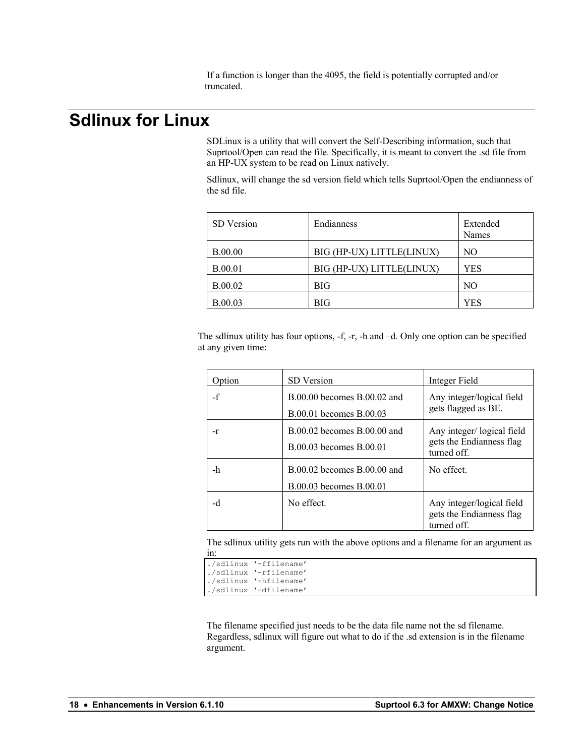If a function is longer than the 4095, the field is potentially corrupted and/or truncated.

### **Sdlinux for Linux**

SDLinux is a utility that will convert the Self-Describing information, such that Suprtool/Open can read the file. Specifically, it is meant to convert the .sd file from an HP-UX system to be read on Linux natively.

Sdlinux, will change the sd version field which tells Suprtool/Open the endianness of the sd file.

| SD Version     | Endianness                | Extended<br>Names |
|----------------|---------------------------|-------------------|
| <b>B.00.00</b> | BIG (HP-UX) LITTLE(LINUX) | NO                |
| <b>B.00.01</b> | BIG (HP-UX) LITTLE(LINUX) | YES               |
| <b>B.00.02</b> | <b>BIG</b>                | N <sub>O</sub>    |
| <b>B.00.03</b> | BIG                       | YES               |

The sdlinux utility has four options, -f, -r, -h and –d. Only one option can be specified at any given time:

| Option | SD Version                                                 | Integer Field                                                        |
|--------|------------------------------------------------------------|----------------------------------------------------------------------|
| $-f$   | $B.00.00$ becomes $B.00.02$ and<br>B.00.01 becomes B.00.03 | Any integer/logical field<br>gets flagged as BE.                     |
| -r     | $B.00.02$ becomes $B.00.00$ and<br>B.00.03 becomes B.00.01 | Any integer/logical field<br>gets the Endianness flag<br>turned off. |
| -h     | $B.00.02$ becomes $B.00.00$ and<br>B.00.03 becomes B.00.01 | No effect.                                                           |
| -d     | No effect.                                                 | Any integer/logical field<br>gets the Endianness flag<br>turned off. |

The sdlinux utility gets run with the above options and a filename for an argument as in:

```
./sdlinux '-ffilename'
./sdlinux '-rfilename'
./sdlinux '-hfilename'
./sdlinux '-dfilename'
```
The filename specified just needs to be the data file name not the sd filename. Regardless, sdlinux will figure out what to do if the .sd extension is in the filename argument.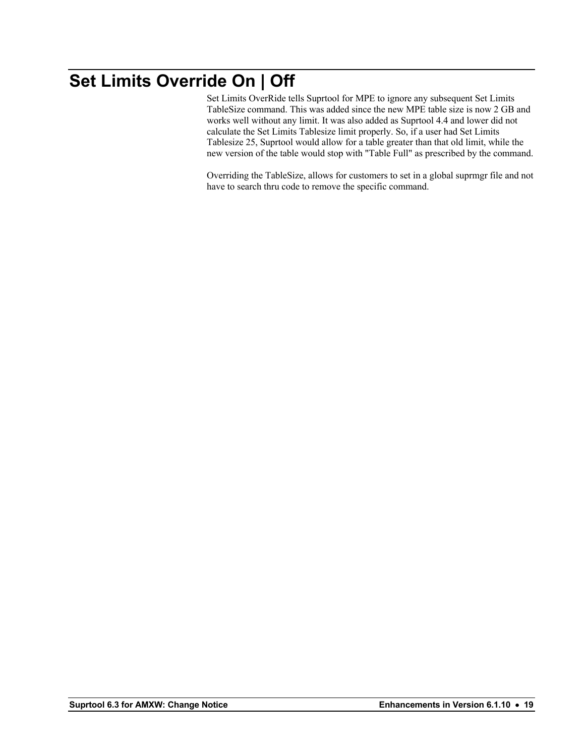## **Set Limits Override On | Off**

Set Limits OverRide tells Suprtool for MPE to ignore any subsequent Set Limits TableSize command. This was added since the new MPE table size is now 2 GB and works well without any limit. It was also added as Suprtool 4.4 and lower did not calculate the Set Limits Tablesize limit properly. So, if a user had Set Limits Tablesize 25, Suprtool would allow for a table greater than that old limit, while the new version of the table would stop with "Table Full" as prescribed by the command.

Overriding the TableSize, allows for customers to set in a global suprmgr file and not have to search thru code to remove the specific command.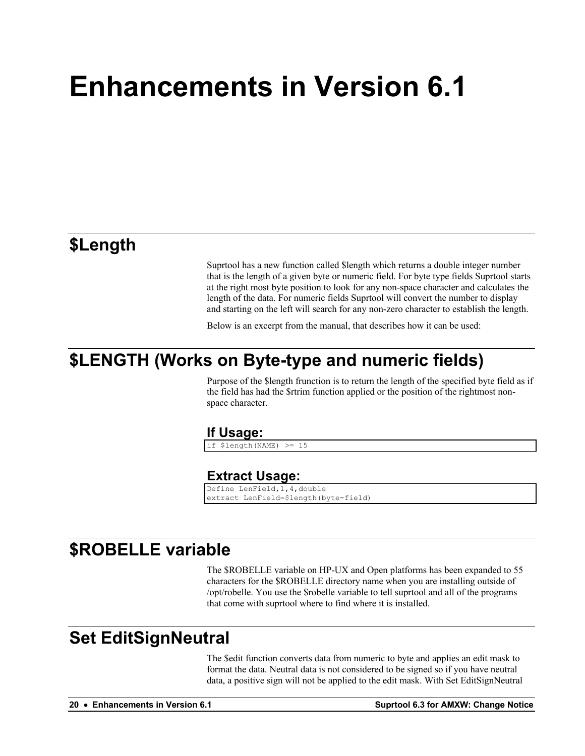## **Enhancements in Version 6.1**

#### **\$Length**

Suprtool has a new function called \$length which returns a double integer number that is the length of a given byte or numeric field. For byte type fields Suprtool starts at the right most byte position to look for any non-space character and calculates the length of the data. For numeric fields Suprtool will convert the number to display and starting on the left will search for any non-zero character to establish the length.

Below is an excerpt from the manual, that describes how it can be used:

#### **\$LENGTH (Works on Byte-type and numeric fields)**

Purpose of the \$length frunction is to return the length of the specified byte field as if the field has had the \$rtrim function applied or the position of the rightmost nonspace character.

#### **If Usage:**

if \$length(NAME) >= 15

#### **Extract Usage:**

Define LenField,1,4,double extract LenField=\$length(byte-field)

#### **\$ROBELLE variable**

The \$ROBELLE variable on HP-UX and Open platforms has been expanded to 55 characters for the \$ROBELLE directory name when you are installing outside of /opt/robelle. You use the \$robelle variable to tell suprtool and all of the programs that come with suprtool where to find where it is installed.

#### **Set EditSignNeutral**

The \$edit function converts data from numeric to byte and applies an edit mask to format the data. Neutral data is not considered to be signed so if you have neutral data, a positive sign will not be applied to the edit mask. With Set EditSignNeutral

**20** • **Enhancements in Version 6.1 Suprtool 6.3 for AMXW: Change Notice**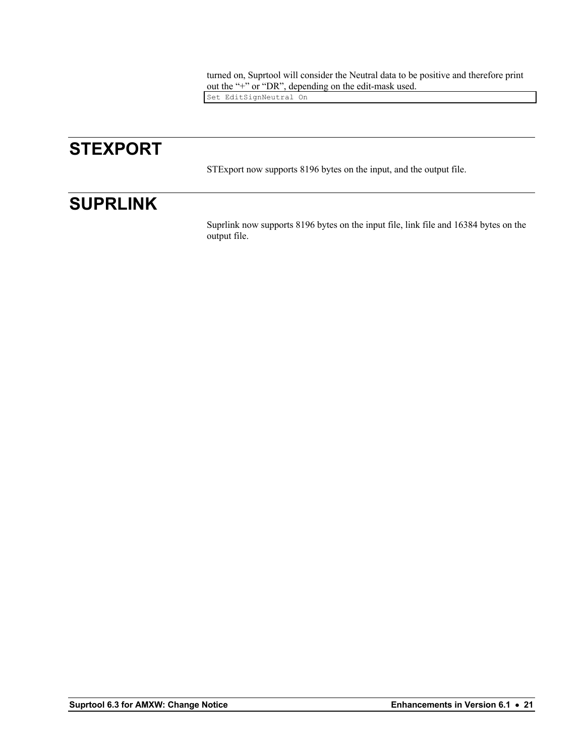turned on, Suprtool will consider the Neutral data to be positive and therefore print out the "+" or "DR", depending on the edit-mask used. Set EditSignNeutral On

## **STEXPORT**

STExport now supports 8196 bytes on the input, and the output file.

### **SUPRLINK**

Suprlink now supports 8196 bytes on the input file, link file and 16384 bytes on the output file.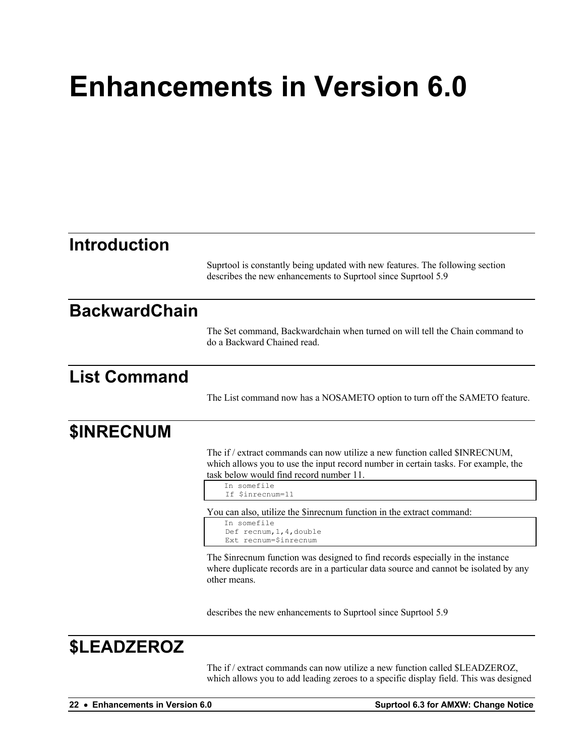## **Enhancements in Version 6.0**

#### **Introduction**

Suprtool is constantly being updated with new features. The following section describes the new enhancements to Suprtool since Suprtool 5.9

#### **BackwardChain**

The Set command, Backwardchain when turned on will tell the Chain command to do a Backward Chained read.

#### **List Command**

The List command now has a NOSAMETO option to turn off the SAMETO feature.

#### **\$INRECNUM**

The if / extract commands can now utilize a new function called \$INRECNUM, which allows you to use the input record number in certain tasks. For example, the task below would find record number 11.

In somefile If \$inrecnum=11

You can also, utilize the \$inrecnum function in the extract command:

```
In somefile
 Def recnum,1,4,double
 Ext recnum=$inrecnum
```
The \$inrecnum function was designed to find records especially in the instance where duplicate records are in a particular data source and cannot be isolated by any other means.

describes the new enhancements to Suprtool since Suprtool 5.9

### **\$LEADZEROZ**

The if / extract commands can now utilize a new function called \$LEADZEROZ, which allows you to add leading zeroes to a specific display field. This was designed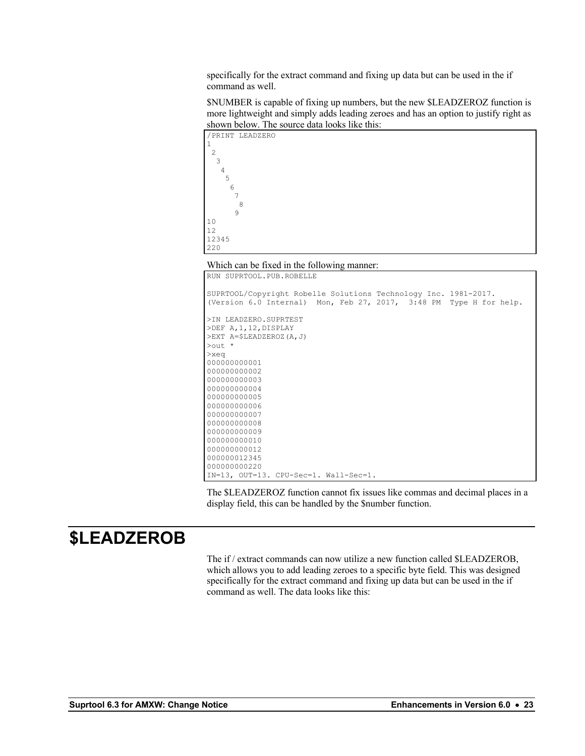specifically for the extract command and fixing up data but can be used in the if command as well.

\$NUMBER is capable of fixing up numbers, but the new \$LEADZEROZ function is more lightweight and simply adds leading zeroes and has an option to justify right as shown below. The source data looks like this:



Which can be fixed in the following manner:

| RUN SUPRTOOL. PUB. ROBELLE                                                                                                            |
|---------------------------------------------------------------------------------------------------------------------------------------|
| SUPRTOOL/Copyright Robelle Solutions Technology Inc. 1981-2017.<br>(Version 6.0 Internal) Mon, Feb 27, 2017, 3:48 PM Type H for help. |
| >IN LEADZERO.SUPRTEST                                                                                                                 |
| >DEF A, 1, 12, DISPLAY                                                                                                                |
| $>EXT A = $LEADZEROZ (A, J)$                                                                                                          |
| $>$ out $*$                                                                                                                           |
| $>$ xeq                                                                                                                               |
| 000000000001                                                                                                                          |
| 000000000002                                                                                                                          |
| 000000000003                                                                                                                          |
| 000000000004                                                                                                                          |
| 000000000005                                                                                                                          |
| 000000000006                                                                                                                          |
| 000000000007                                                                                                                          |
| 000000000008                                                                                                                          |
| 000000000009                                                                                                                          |
| 000000000010                                                                                                                          |
| 000000000012                                                                                                                          |
| 000000012345                                                                                                                          |
| 000000000220                                                                                                                          |
| $IN=13$ , $OUT=13$ . $CPU-Sec=1$ . $Wall-Sec=1$ .                                                                                     |

The \$LEADZEROZ function cannot fix issues like commas and decimal places in a display field, this can be handled by the \$number function.

### **\$LEADZEROB**

The if / extract commands can now utilize a new function called \$LEADZEROB, which allows you to add leading zeroes to a specific byte field. This was designed specifically for the extract command and fixing up data but can be used in the if command as well. The data looks like this: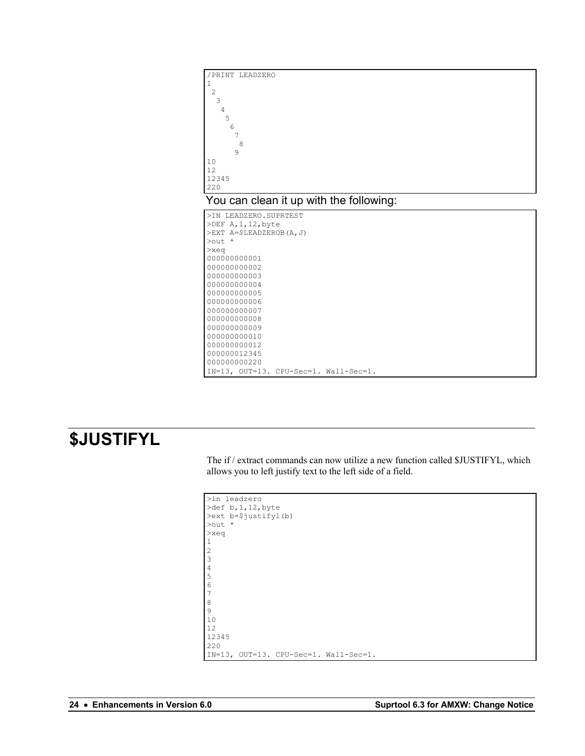

## **\$JUSTIFYL**

The if / extract commands can now utilize a new function called \$JUSTIFYL, which allows you to left justify text to the left side of a field.

```
>in leadzero
>def b,1,12,byte
>ext b=$justifyl(b)
>out *
>xeq
1
2
3
4
5
6
7
8
9
10
12
12345
220
IN=13, OUT=13. CPU-Sec=1. Wall-Sec=1.
```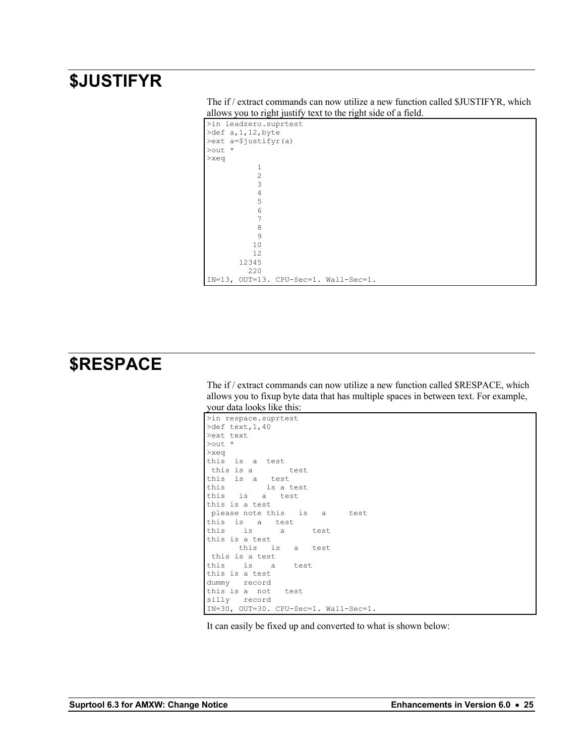### **\$JUSTIFYR**

| The if / extract commands can now utilize a new function called \$JUSTIFYR, which |  |  |  |  |
|-----------------------------------------------------------------------------------|--|--|--|--|
| allows you to right justify text to the right side of a field.                    |  |  |  |  |

```
>in leadzero.suprtest
>def a,1,12,byte
>ext a=$justifyr(a)
>out *
>xeq
 1
 2
 3
 4
 5
 6
 7
 8
 9
      10
      12
     12345
       220
IN=13, OUT=13. CPU-Sec=1. Wall-Sec=1.
```
#### **\$RESPACE**

The if / extract commands can now utilize a new function called \$RESPACE, which allows you to fixup byte data that has multiple spaces in between text. For example, your data looks like this:

```
>in respace.suprtest
>def text, 1,40
>ext text
>out *
>xeq
this is a test
this is a test<br>this is a test
this is a<br>this
         is a test
this is a test
this is a test
please note this is a test
this is a test
this is a test
this is a test
      this is a test
this is a test
this is a test
this is a test
dummy record
this is a not test
silly record
IN=30, OUT=30. CPU-Sec=1. Wall-Sec=1.
```
It can easily be fixed up and converted to what is shown below: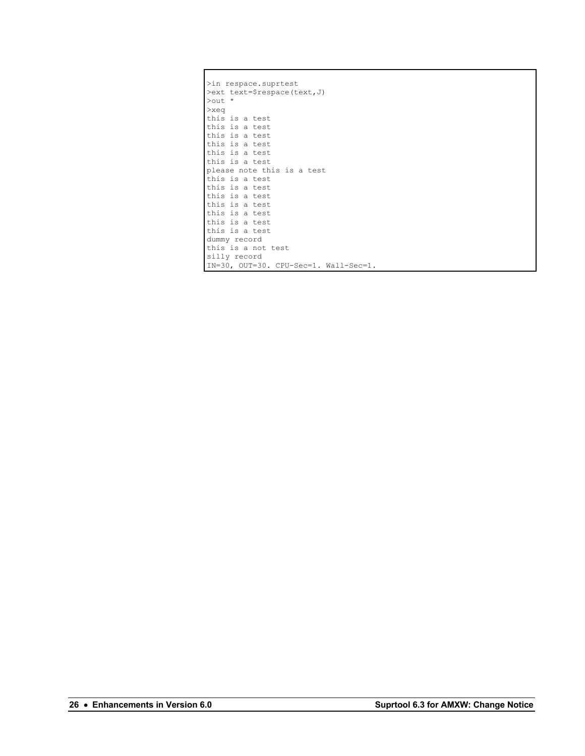| >in respace.suprtest                  |
|---------------------------------------|
| >ext text=\$respace(text, J)          |
| $\text{Out}$ *                        |
| $>$ xeq                               |
| this is a test                        |
| this is a test                        |
| this is a test                        |
| this is a test                        |
| this is a test                        |
| this is a test                        |
| please note this is a test            |
| this is a test                        |
| this is a test                        |
| this is a test                        |
| this is a test                        |
| this is a test                        |
| this is a test                        |
| this is a test                        |
| dummy record                          |
| this is a not test                    |
| silly record                          |
| IN=30, OUT=30. CPU-Sec=1. Wall-Sec=1. |

 $\overline{1}$